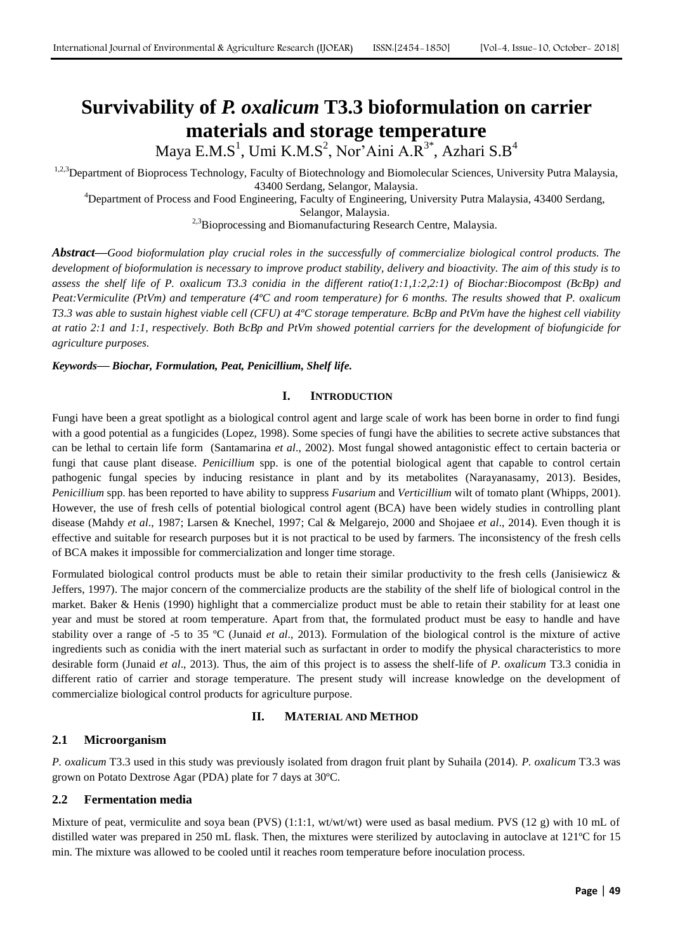# **Survivability of** *P. oxalicum* **T3.3 bioformulation on carrier materials and storage temperature**

Maya E.M.S $^1$ , Umi K.M.S $^2$ , Nor'Aini A.R $^{3^\ast}$ , Azhari S.B $^4$ 

<sup>1,2,3</sup>Department of Bioprocess Technology, Faculty of Biotechnology and Biomolecular Sciences, University Putra Malaysia, 43400 Serdang, Selangor, Malaysia.

<sup>4</sup>Department of Process and Food Engineering, Faculty of Engineering, University Putra Malaysia, 43400 Serdang,

Selangor, Malaysia.

<sup>2,3</sup>Bioprocessing and Biomanufacturing Research Centre, Malaysia.

*Abstract***—***Good bioformulation play crucial roles in the successfully of commercialize biological control products. The development of bioformulation is necessary to improve product stability, delivery and bioactivity. The aim of this study is to assess the shelf life of P. oxalicum T3.3 conidia in the different ratio(1:1,1:2,2:1) of Biochar:Biocompost (BcBp) and Peat:Vermiculite (PtVm) and temperature (4ºC and room temperature) for 6 months. The results showed that P. oxalicum T3.3 was able to sustain highest viable cell (CFU) at 4ºC storage temperature. BcBp and PtVm have the highest cell viability at ratio 2:1 and 1:1, respectively. Both BcBp and PtVm showed potential carriers for the development of biofungicide for agriculture purposes.* 

*Keywords***—** *Biochar, Formulation, Peat, Penicillium, Shelf life.*

# **I. INTRODUCTION**

Fungi have been a great spotlight as a biological control agent and large scale of work has been borne in order to find fungi with a good potential as a fungicides (Lopez, 1998). Some species of fungi have the abilities to secrete active substances that can be lethal to certain life form (Santamarina *et al*., 2002). Most fungal showed antagonistic effect to certain bacteria or fungi that cause plant disease*. Penicillium* spp. is one of the potential biological agent that capable to control certain pathogenic fungal species by inducing resistance in plant and by its metabolites (Narayanasamy, 2013). Besides, *Penicillium* spp. has been reported to have ability to suppress *Fusarium* and *Verticillium* wilt of tomato plant (Whipps, 2001). However, the use of fresh cells of potential biological control agent (BCA) have been widely studies in controlling plant disease (Mahdy *et al*., 1987; Larsen & Knechel, 1997; Cal & Melgarejo, 2000 and Shojaee *et al*., 2014). Even though it is effective and suitable for research purposes but it is not practical to be used by farmers. The inconsistency of the fresh cells of BCA makes it impossible for commercialization and longer time storage.

Formulated biological control products must be able to retain their similar productivity to the fresh cells (Janisiewicz & Jeffers, 1997). The major concern of the commercialize products are the stability of the shelf life of biological control in the market. Baker & Henis (1990) highlight that a commercialize product must be able to retain their stability for at least one year and must be stored at room temperature. Apart from that, the formulated product must be easy to handle and have stability over a range of -5 to 35 ºC (Junaid *et al*., 2013). Formulation of the biological control is the mixture of active ingredients such as conidia with the inert material such as surfactant in order to modify the physical characteristics to more desirable form (Junaid *et al*., 2013). Thus, the aim of this project is to assess the shelf-life of *P. oxalicum* T3.3 conidia in different ratio of carrier and storage temperature. The present study will increase knowledge on the development of commercialize biological control products for agriculture purpose.

## **II. MATERIAL AND METHOD**

# **2.1 Microorganism**

*P. oxalicum* T3.3 used in this study was previously isolated from dragon fruit plant by Suhaila (2014). *P. oxalicum* T3.3 was grown on Potato Dextrose Agar (PDA) plate for 7 days at 30ºC.

## **2.2 Fermentation media**

Mixture of peat, vermiculite and soya bean (PVS) (1:1:1, wt/wt/wt) were used as basal medium. PVS (12 g) with 10 mL of distilled water was prepared in 250 mL flask. Then, the mixtures were sterilized by autoclaving in autoclave at 121ºC for 15 min. The mixture was allowed to be cooled until it reaches room temperature before inoculation process.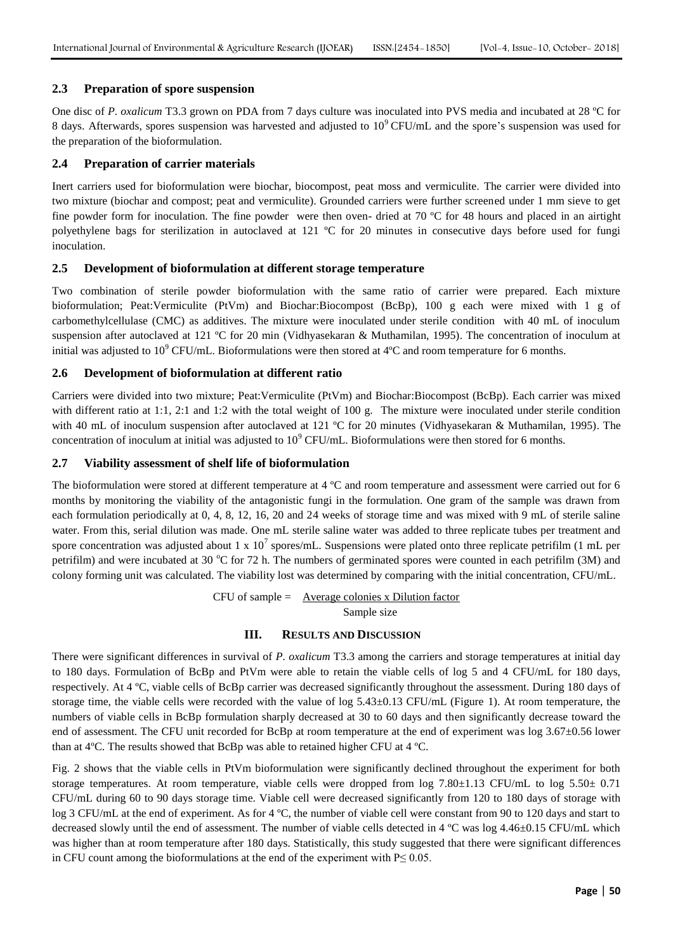## **2.3 Preparation of spore suspension**

One disc of *P. oxalicum* T3.3 grown on PDA from 7 days culture was inoculated into PVS media and incubated at 28 ºC for 8 days. Afterwards, spores suspension was harvested and adjusted to 10<sup>9</sup>CFU/mL and the spore's suspension was used for the preparation of the bioformulation.

#### **2.4 Preparation of carrier materials**

Inert carriers used for bioformulation were biochar, biocompost, peat moss and vermiculite. The carrier were divided into two mixture (biochar and compost; peat and vermiculite). Grounded carriers were further screened under 1 mm sieve to get fine powder form for inoculation. The fine powder were then oven- dried at 70 ºC for 48 hours and placed in an airtight polyethylene bags for sterilization in autoclaved at 121 ºC for 20 minutes in consecutive days before used for fungi inoculation.

#### **2.5 Development of bioformulation at different storage temperature**

Two combination of sterile powder bioformulation with the same ratio of carrier were prepared. Each mixture bioformulation; Peat:Vermiculite (PtVm) and Biochar:Biocompost (BcBp), 100 g each were mixed with 1 g of carbomethylcellulase (CMC) as additives. The mixture were inoculated under sterile condition with 40 mL of inoculum suspension after autoclaved at 121 ºC for 20 min (Vidhyasekaran & Muthamilan, 1995). The concentration of inoculum at initial was adjusted to  $10^9$  CFU/mL. Bioformulations were then stored at  $4^{\circ}$ C and room temperature for 6 months.

#### **2.6 Development of bioformulation at different ratio**

Carriers were divided into two mixture; Peat:Vermiculite (PtVm) and Biochar:Biocompost (BcBp). Each carrier was mixed with different ratio at 1:1, 2:1 and 1:2 with the total weight of 100 g. The mixture were inoculated under sterile condition with 40 mL of inoculum suspension after autoclaved at 121 °C for 20 minutes (Vidhyasekaran & Muthamilan, 1995). The concentration of inoculum at initial was adjusted to  $10^9$  CFU/mL. Bioformulations were then stored for 6 months.

#### **2.7 Viability assessment of shelf life of bioformulation**

The bioformulation were stored at different temperature at 4 ºC and room temperature and assessment were carried out for 6 months by monitoring the viability of the antagonistic fungi in the formulation. One gram of the sample was drawn from each formulation periodically at 0, 4, 8, 12, 16, 20 and 24 weeks of storage time and was mixed with 9 mL of sterile saline water. From this, serial dilution was made. One mL sterile saline water was added to three replicate tubes per treatment and spore concentration was adjusted about 1 x  $10^7$  spores/mL. Suspensions were plated onto three replicate petrifilm (1 mL per petrifilm) and were incubated at 30  $\degree$ C for 72 h. The numbers of germinated spores were counted in each petrifilm (3M) and colony forming unit was calculated. The viability lost was determined by comparing with the initial concentration, CFU/mL.

> $CFU$  of sample = Average colonies x Dilution factor Sample size

#### **III. RESULTS AND DISCUSSION**

There were significant differences in survival of *P. oxalicum* T3.3 among the carriers and storage temperatures at initial day to 180 days. Formulation of BcBp and PtVm were able to retain the viable cells of log 5 and 4 CFU/mL for 180 days, respectively. At 4 ºC, viable cells of BcBp carrier was decreased significantly throughout the assessment. During 180 days of storage time, the viable cells were recorded with the value of  $\log 5.43\pm0.13$  CFU/mL (Figure 1). At room temperature, the numbers of viable cells in BcBp formulation sharply decreased at 30 to 60 days and then significantly decrease toward the end of assessment. The CFU unit recorded for BcBp at room temperature at the end of experiment was log 3.67 $\pm$ 0.56 lower than at 4ºC. The results showed that BcBp was able to retained higher CFU at 4 ºC.

Fig. 2 shows that the viable cells in PtVm bioformulation were significantly declined throughout the experiment for both storage temperatures. At room temperature, viable cells were dropped from log 7.80±1.13 CFU/mL to log 5.50± 0.71 CFU/mL during 60 to 90 days storage time. Viable cell were decreased significantly from 120 to 180 days of storage with log 3 CFU/mL at the end of experiment. As for 4 °C, the number of viable cell were constant from 90 to 120 days and start to decreased slowly until the end of assessment. The number of viable cells detected in 4 ºC was log 4.46±0.15 CFU/mL which was higher than at room temperature after 180 days. Statistically, this study suggested that there were significant differences in CFU count among the bioformulations at the end of the experiment with  $P \le 0.05$ .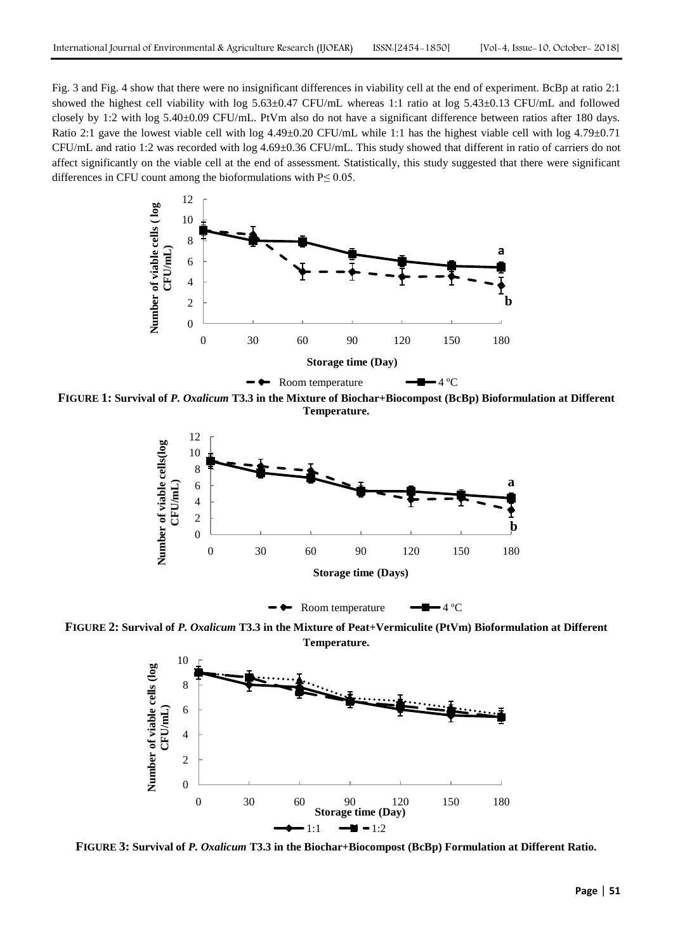Fig. 3 and Fig. 4 show that there were no insignificant differences in viability cell at the end of experiment. BcBp at ratio 2:1 showed the highest cell viability with log 5.63±0.47 CFU/mL whereas 1:1 ratio at log 5.43±0.13 CFU/mL and followed closely by 1:2 with log 5.40±0.09 CFU/mL. PtVm also do not have a significant difference between ratios after 180 days. Ratio 2:1 gave the lowest viable cell with log  $4.49\pm0.20$  CFU/mL while 1:1 has the highest viable cell with log  $4.79\pm0.71$ CFU/mL and ratio 1:2 was recorded with log 4.69±0.36 CFU/mL. This study showed that different in ratio of carriers do not affect significantly on the viable cell at the end of assessment. Statistically, this study suggested that there were significant differences in CFU count among the bioformulations with  $P \le 0.05$ .



**FIGURE 1: Survival of** *P. Oxalicum* **T3.3 in the Mixture of Biochar+Biocompost (BcBp) Bioformulation at Different Temperature.** 



**FIGURE 2: Survival of** *P. Oxalicum* **T3.3 in the Mixture of Peat+Vermiculite (PtVm) Bioformulation at Different Temperature.** 



**FIGURE 3: Survival of** *P. Oxalicum* **T3.3 in the Biochar+Biocompost (BcBp) Formulation at Different Ratio.**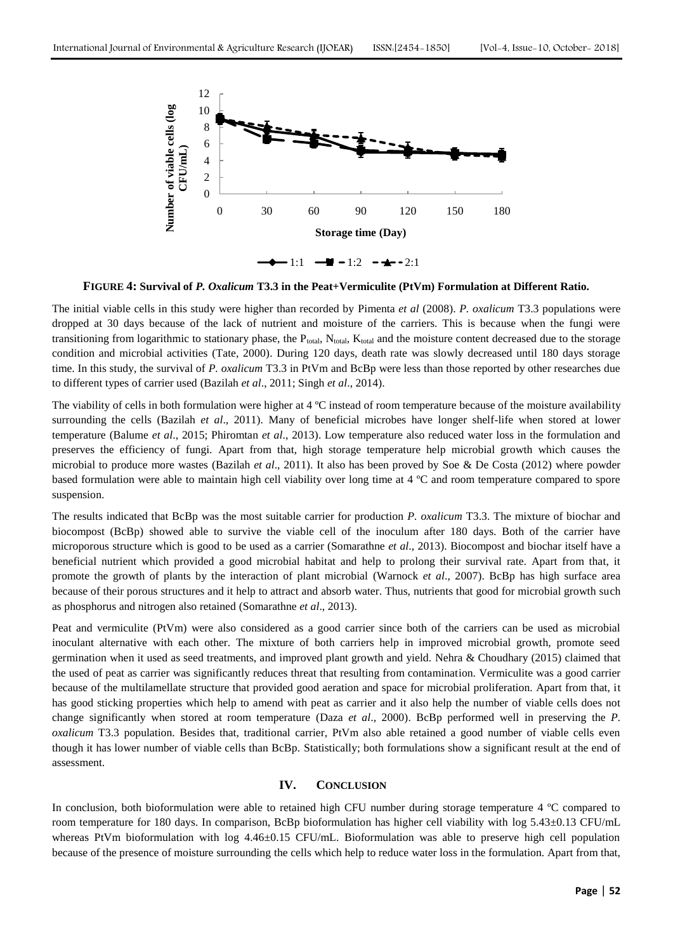

**FIGURE 4: Survival of** *P. Oxalicum* **T3.3 in the Peat+Vermiculite (PtVm) Formulation at Different Ratio.** 

The initial viable cells in this study were higher than recorded by Pimenta *et al* (2008). *P. oxalicum* T3.3 populations were dropped at 30 days because of the lack of nutrient and moisture of the carriers. This is because when the fungi were transitioning from logarithmic to stationary phase, the  $P_{total}$ ,  $N_{total}$ ,  $K_{total}$  and the moisture content decreased due to the storage condition and microbial activities (Tate, 2000). During 120 days, death rate was slowly decreased until 180 days storage time. In this study, the survival of *P. oxalicum* T3.3 in PtVm and BcBp were less than those reported by other researches due to different types of carrier used (Bazilah *et al*., 2011; Singh *et al*., 2014).

The viability of cells in both formulation were higher at 4 °C instead of room temperature because of the moisture availability surrounding the cells (Bazilah *et al*., 2011). Many of beneficial microbes have longer shelf-life when stored at lower temperature (Balume *et al*., 2015; Phiromtan *et al*., 2013). Low temperature also reduced water loss in the formulation and preserves the efficiency of fungi. Apart from that, high storage temperature help microbial growth which causes the microbial to produce more wastes (Bazilah *et al*., 2011). It also has been proved by Soe & De Costa (2012) where powder based formulation were able to maintain high cell viability over long time at 4 ºC and room temperature compared to spore suspension.

The results indicated that BcBp was the most suitable carrier for production *P. oxalicum* T3.3. The mixture of biochar and biocompost (BcBp) showed able to survive the viable cell of the inoculum after 180 days. Both of the carrier have microporous structure which is good to be used as a carrier (Somarathne *et al*., 2013). Biocompost and biochar itself have a beneficial nutrient which provided a good microbial habitat and help to prolong their survival rate. Apart from that, it promote the growth of plants by the interaction of plant microbial (Warnock *et al*., 2007). BcBp has high surface area because of their porous structures and it help to attract and absorb water. Thus, nutrients that good for microbial growth such as phosphorus and nitrogen also retained (Somarathne *et al*., 2013).

Peat and vermiculite (PtVm) were also considered as a good carrier since both of the carriers can be used as microbial inoculant alternative with each other. The mixture of both carriers help in improved microbial growth, promote seed germination when it used as seed treatments, and improved plant growth and yield. Nehra & Choudhary (2015) claimed that the used of peat as carrier was significantly reduces threat that resulting from contamination. Vermiculite was a good carrier because of the multilamellate structure that provided good aeration and space for microbial proliferation. Apart from that, it has good sticking properties which help to amend with peat as carrier and it also help the number of viable cells does not change significantly when stored at room temperature (Daza *et al*., 2000). BcBp performed well in preserving the *P. oxalicum* T3.3 population. Besides that, traditional carrier, PtVm also able retained a good number of viable cells even though it has lower number of viable cells than BcBp. Statistically; both formulations show a significant result at the end of assessment.

# **IV. CONCLUSION**

In conclusion, both bioformulation were able to retained high CFU number during storage temperature 4 ºC compared to room temperature for 180 days. In comparison, BcBp bioformulation has higher cell viability with log 5.43±0.13 CFU/mL whereas PtVm bioformulation with log 4.46±0.15 CFU/mL. Bioformulation was able to preserve high cell population because of the presence of moisture surrounding the cells which help to reduce water loss in the formulation. Apart from that,